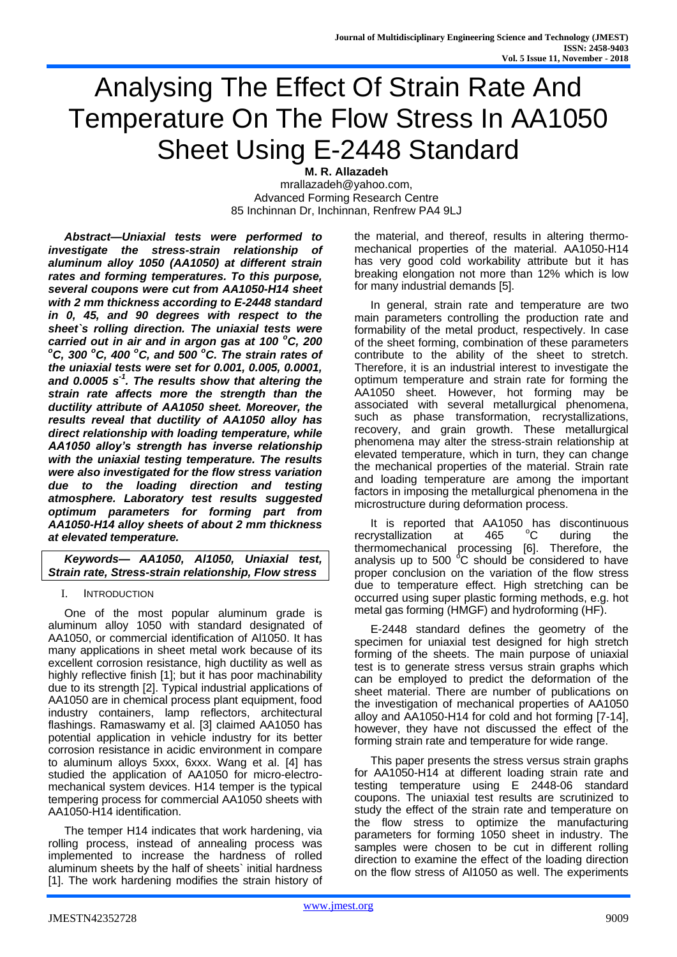# Analysing The Effect Of Strain Rate And Temperature On The Flow Stress In AA1050 Sheet Using E-2448 Standard

**M. R. Allazadeh** mrallazadeh@yahoo.com,

Advanced Forming Research Centre 85 Inchinnan Dr, Inchinnan, Renfrew PA4 9LJ

*Abstract—Uniaxial tests were performed to investigate the stress-strain relationship of aluminum alloy 1050 (AA1050) at different strain rates and forming temperatures. To this purpose, several coupons were cut from AA1050-H14 sheet with 2 mm thickness according to E-2448 standard in 0, 45, and 90 degrees with respect to the sheet`s rolling direction. The uniaxial tests were carried out in air and in argon gas at 100 <sup>o</sup>C, 200 <sup>o</sup>C, 300 <sup>o</sup>C, 400 <sup>o</sup>C, and 500 <sup>o</sup>C. The strain rates of the uniaxial tests were set for 0.001, 0.005, 0.0001, and 0.0005 s-1 . The results show that altering the strain rate affects more the strength than the ductility attribute of AA1050 sheet. Moreover, the results reveal that ductility of AA1050 alloy has direct relationship with loading temperature, while AA1050 alloy's strength has inverse relationship with the uniaxial testing temperature. The results were also investigated for the flow stress variation due to the loading direction and testing atmosphere. Laboratory test results suggested optimum parameters for forming part from AA1050-H14 alloy sheets of about 2 mm thickness at elevated temperature.*

*Keywords— AA1050, Al1050, Uniaxial test, Strain rate, Stress-strain relationship, Flow stress*

I. INTRODUCTION

One of the most popular aluminum grade is aluminum alloy 1050 with standard designated of AA1050, or commercial identification of Al1050. It has many applications in sheet metal work because of its excellent corrosion resistance, high ductility as well as highly reflective finish [1]; but it has poor machinability due to its strength [2]. Typical industrial applications of AA1050 are in chemical process plant equipment, food industry containers, lamp reflectors, architectural flashings. Ramaswamy et al. [3] claimed AA1050 has potential application in vehicle industry for its better corrosion resistance in acidic environment in compare to aluminum alloys 5xxx, 6xxx. Wang et al. [4] has studied the application of AA1050 for micro-electromechanical system devices. H14 temper is the typical tempering process for commercial AA1050 sheets with AA1050-H14 identification.

The temper H14 indicates that work hardening, via rolling process, instead of annealing process was implemented to increase the hardness of rolled aluminum sheets by the half of sheets` initial hardness [1]. The work hardening modifies the strain history of the material, and thereof, results in altering thermomechanical properties of the material. AA1050-H14 has very good cold workability attribute but it has breaking elongation not more than 12% which is low for many industrial demands [5].

In general, strain rate and temperature are two main parameters controlling the production rate and formability of the metal product, respectively. In case of the sheet forming, combination of these parameters contribute to the ability of the sheet to stretch. Therefore, it is an industrial interest to investigate the optimum temperature and strain rate for forming the AA1050 sheet. However, hot forming may be associated with several metallurgical phenomena, such as phase transformation, recrystallizations, recovery, and grain growth. These metallurgical phenomena may alter the stress-strain relationship at elevated temperature, which in turn, they can change the mechanical properties of the material. Strain rate and loading temperature are among the important factors in imposing the metallurgical phenomena in the microstructure during deformation process.

It is reported that AA1050 has discontinuous recrystallization at 465 °C during the thermomechanical processing [6]. Therefore, the analysis up to 500  $\mathrm{^6C}$  should be considered to have proper conclusion on the variation of the flow stress due to temperature effect. High stretching can be occurred using super plastic forming methods, e.g. hot metal gas forming (HMGF) and hydroforming (HF).

E-2448 standard defines the geometry of the specimen for uniaxial test designed for high stretch forming of the sheets. The main purpose of uniaxial test is to generate stress versus strain graphs which can be employed to predict the deformation of the sheet material. There are number of publications on the investigation of mechanical properties of AA1050 alloy and AA1050-H14 for cold and hot forming [7-14], however, they have not discussed the effect of the forming strain rate and temperature for wide range.

This paper presents the stress versus strain graphs for AA1050-H14 at different loading strain rate and testing temperature using E 2448-06 standard coupons. The uniaxial test results are scrutinized to study the effect of the strain rate and temperature on the flow stress to optimize the manufacturing parameters for forming 1050 sheet in industry. The samples were chosen to be cut in different rolling direction to examine the effect of the loading direction on the flow stress of Al1050 as well. The experiments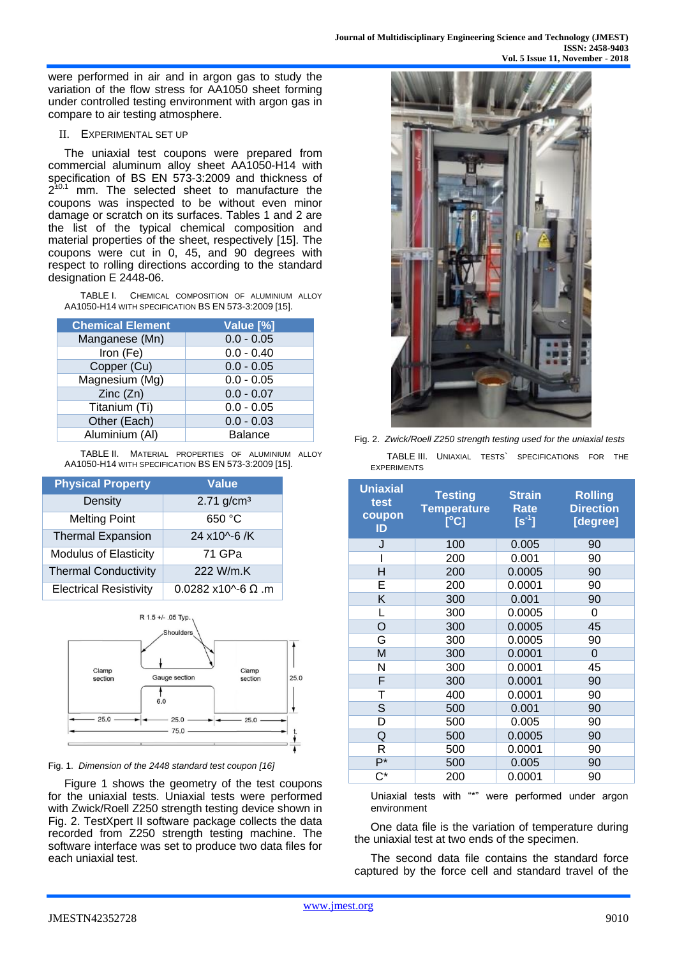were performed in air and in argon gas to study the variation of the flow stress for AA1050 sheet forming under controlled testing environment with argon gas in compare to air testing atmosphere.

# II. EXPERIMENTAL SET UP

The uniaxial test coupons were prepared from commercial aluminum alloy sheet AA1050-H14 with specification of BS EN 573-3:2009 and thickness of  $2^{\pm 0.1}$  mm. The selected sheet to manufacture the coupons was inspected to be without even minor damage or scratch on its surfaces. Tables 1 and 2 are the list of the typical chemical composition and material properties of the sheet, respectively [15]. The coupons were cut in 0, 45, and 90 degrees with respect to rolling directions according to the standard designation E 2448-06.

TABLE I. CHEMICAL COMPOSITION OF ALUMINIUM ALLOY AA1050-H14 WITH SPECIFICATION BS EN 573-3:2009 [15].

| <b>Chemical Element</b> | Value [%]      |  |  |
|-------------------------|----------------|--|--|
| Manganese (Mn)          | $0.0 - 0.05$   |  |  |
| Iron (Fe)               | $0.0 - 0.40$   |  |  |
| Copper (Cu)             | $0.0 - 0.05$   |  |  |
| Magnesium (Mg)          | $0.0 - 0.05$   |  |  |
| Zinc(Zn)                | $0.0 - 0.07$   |  |  |
| Titanium (Ti)           | $0.0 - 0.05$   |  |  |
| Other (Each)            | $0.0 - 0.03$   |  |  |
| Aluminium (AI)          | <b>Balance</b> |  |  |

TABLE II. MATERIAL PROPERTIES OF ALUMINIUM ALLOY AA1050-H14 WITH SPECIFICATION BS EN 573-3:2009 [15].

| <b>Physical Property</b>      | <b>Value</b>                         |  |  |
|-------------------------------|--------------------------------------|--|--|
| Density                       | $2.71$ g/cm <sup>3</sup>             |  |  |
| <b>Melting Point</b>          | 650 °C                               |  |  |
| <b>Thermal Expansion</b>      | 24 x10^-6 /K                         |  |  |
| <b>Modulus of Elasticity</b>  | 71 GPa                               |  |  |
| <b>Thermal Conductivity</b>   | 222 W/m.K                            |  |  |
| <b>Electrical Resistivity</b> | $0.0282 \times 10^{6} - 6 \Omega$ .m |  |  |



Fig. 1. *Dimension of the 2448 standard test coupon [16]*

Figure 1 shows the geometry of the test coupons for the uniaxial tests. Uniaxial tests were performed with Zwick/Roell Z250 strength testing device shown in Fig. 2. TestXpert II software package collects the data recorded from Z250 strength testing machine. The software interface was set to produce two data files for each uniaxial test.



| Fig. 2. Zwick/Roell Z250 strength testing used for the uniaxial tests |  |  |                                                  |  |  |
|-----------------------------------------------------------------------|--|--|--------------------------------------------------|--|--|
|                                                                       |  |  | TABLE III. UNIAXIAL TESTS SPECIFICATIONS FOR THE |  |  |
| <b>EXPERIMENTS</b>                                                    |  |  |                                                  |  |  |

| <b>Uniaxial</b><br>test<br>coupon<br>ID | <b>Testing</b><br><b>Temperature</b><br>$\overline{\text{[}^{\circ}\text{C}\text{]}}$ | <b>Strain</b><br><b>Rate</b><br>$[s^{-1}]$ | <b>Rolling</b><br><b>Direction</b><br>[degree] |
|-----------------------------------------|---------------------------------------------------------------------------------------|--------------------------------------------|------------------------------------------------|
| J                                       | 100                                                                                   | 0.005                                      | 90                                             |
|                                         | 200                                                                                   | 0.001                                      | 90                                             |
| H                                       | 200                                                                                   | 0.0005                                     | 90                                             |
| E                                       | 200                                                                                   | 0.0001                                     | 90                                             |
| Κ                                       | 300                                                                                   | 0.001                                      | 90                                             |
| L                                       | 300                                                                                   | 0.0005                                     | 0                                              |
| O                                       | 300                                                                                   | 0.0005                                     | 45                                             |
| G                                       | 300                                                                                   | 0.0005                                     | 90                                             |
| M                                       | 300                                                                                   | 0.0001                                     | 0                                              |
| N                                       | 300                                                                                   | 0.0001                                     | 45                                             |
| F                                       | 300                                                                                   | 0.0001                                     | 90                                             |
| Τ                                       | 400                                                                                   | 0.0001                                     | 90                                             |
| S                                       | 500                                                                                   | 0.001                                      | 90                                             |
| D                                       | 500                                                                                   | 0.005                                      | 90                                             |
| Q                                       | 500                                                                                   | 0.0005                                     | 90                                             |
| R                                       | 500                                                                                   | 0.0001                                     | 90                                             |
| $P^*$                                   | 500                                                                                   | 0.005                                      | 90                                             |
| C*                                      | 200                                                                                   | 0.0001                                     | 90                                             |

Uniaxial tests with "\*" were performed under argon environment

One data file is the variation of temperature during the uniaxial test at two ends of the specimen.

The second data file contains the standard force captured by the force cell and standard travel of the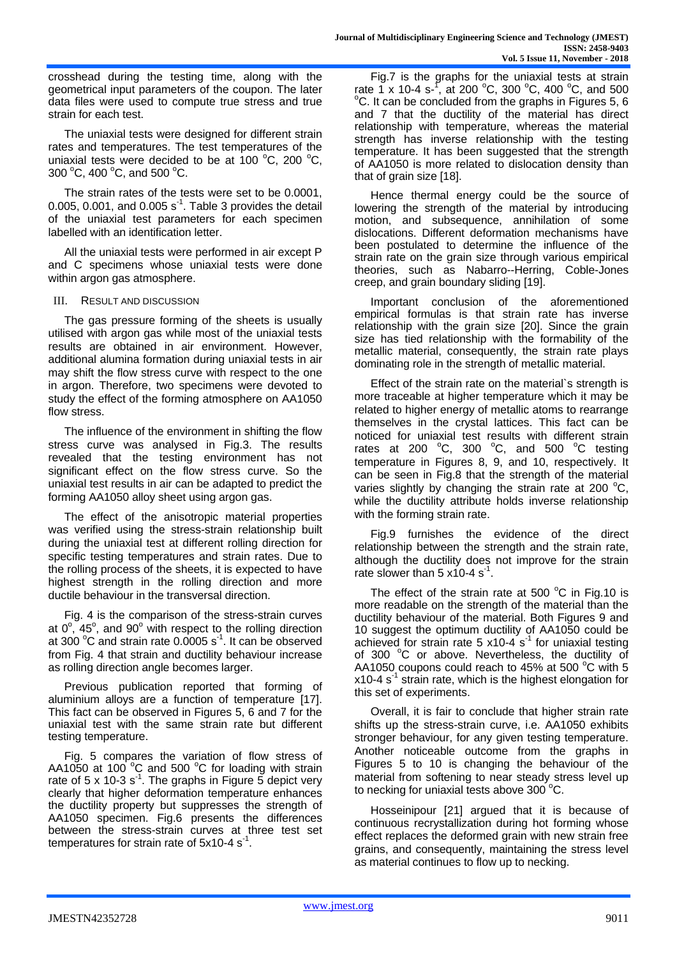crosshead during the testing time, along with the geometrical input parameters of the coupon. The later data files were used to compute true stress and true strain for each test.

The uniaxial tests were designed for different strain rates and temperatures. The test temperatures of the uniaxial tests were decided to be at 100  $^{\circ}$ C, 200  $^{\circ}$ C, 300 °C, 400 °C, and 500 °C.

The strain rates of the tests were set to be 0.0001, 0.005, 0.001, and 0.005  $s^{-1}$ . Table 3 provides the detail of the uniaxial test parameters for each specimen labelled with an identification letter.

All the uniaxial tests were performed in air except P and C specimens whose uniaxial tests were done within argon gas atmosphere.

## III. RESULT AND DISCUSSION

The gas pressure forming of the sheets is usually utilised with argon gas while most of the uniaxial tests results are obtained in air environment. However, additional alumina formation during uniaxial tests in air may shift the flow stress curve with respect to the one in argon. Therefore, two specimens were devoted to study the effect of the forming atmosphere on AA1050 flow stress.

The influence of the environment in shifting the flow stress curve was analysed in Fig.3. The results revealed that the testing environment has not significant effect on the flow stress curve. So the uniaxial test results in air can be adapted to predict the forming AA1050 alloy sheet using argon gas.

The effect of the anisotropic material properties was verified using the stress-strain relationship built during the uniaxial test at different rolling direction for specific testing temperatures and strain rates. Due to the rolling process of the sheets, it is expected to have highest strength in the rolling direction and more ductile behaviour in the transversal direction.

Fig. 4 is the comparison of the stress-strain curves at  $0^{\circ}$ , 45°, and  $90^{\circ}$  with respect to the rolling direction at 300 $\degree$ C and strain rate 0.0005 s $\degree$ 1. It can be observed from Fig. 4 that strain and ductility behaviour increase as rolling direction angle becomes larger.

Previous publication reported that forming of aluminium alloys are a function of temperature [17]. This fact can be observed in Figures 5, 6 and 7 for the uniaxial test with the same strain rate but different testing temperature.

Fig. 5 compares the variation of flow stress of AA1050 at 100 $^{\circ}$ C and 500 $^{\circ}$ C for loading with strain rate of 5 x 10-3 s<sup>-1</sup>. The graphs in Figure 5 depict very clearly that higher deformation temperature enhances the ductility property but suppresses the strength of AA1050 specimen. Fig.6 presents the differences between the stress-strain curves at three test set temperatures for strain rate of 5x10-4  $s^{-1}$ .

Fig.7 is the graphs for the uniaxial tests at strain rate 1 x 10-4 s-<sup>1</sup>, at 200 °C, 300 °C, 400 °C, and 500  $\rm{^{\circ}C}$ . It can be concluded from the graphs in Figures 5, 6 and 7 that the ductility of the material has direct relationship with temperature, whereas the material strength has inverse relationship with the testing temperature. It has been suggested that the strength of AA1050 is more related to dislocation density than that of grain size [18].

Hence thermal energy could be the source of lowering the strength of the material by introducing motion, and subsequence, annihilation of some dislocations. Different deformation mechanisms have been postulated to determine the influence of the strain rate on the grain size through various empirical theories, such as Nabarro--Herring, Coble-Jones creep, and grain boundary sliding [19].

Important conclusion of the aforementioned empirical formulas is that strain rate has inverse relationship with the grain size [20]. Since the grain size has tied relationship with the formability of the metallic material, consequently, the strain rate plays dominating role in the strength of metallic material.

Effect of the strain rate on the material`s strength is more traceable at higher temperature which it may be related to higher energy of metallic atoms to rearrange themselves in the crystal lattices. This fact can be noticed for uniaxial test results with different strain rates at 200  $^{\circ}$ C, 300  $^{\circ}$ C, and 500  $^{\circ}$ C testing temperature in Figures 8, 9, and 10, respectively. It can be seen in Fig.8 that the strength of the material varies slightly by changing the strain rate at 200  $^{\circ}$ C, while the ductility attribute holds inverse relationship with the forming strain rate.

Fig.9 furnishes the evidence of the direct relationship between the strength and the strain rate, although the ductility does not improve for the strain rate slower than 5  $x10-4$  s<sup>-1</sup>.

The effect of the strain rate at 500  $^{\circ}$ C in Fig.10 is more readable on the strength of the material than the ductility behaviour of the material. Both Figures 9 and 10 suggest the optimum ductility of AA1050 could be achieved for strain rate 5 x10-4  $s^{-1}$  for uniaxial testing of 300 °C or above. Nevertheless, the ductility of AA1050 coupons could reach to 45% at 500  $^{\circ}$ C with 5  $x$ 10-4 s<sup>-1</sup> strain rate, which is the highest elongation for this set of experiments.

Overall, it is fair to conclude that higher strain rate shifts up the stress-strain curve, i.e. AA1050 exhibits stronger behaviour, for any given testing temperature. Another noticeable outcome from the graphs in Figures 5 to 10 is changing the behaviour of the material from softening to near steady stress level up to necking for uniaxial tests above  $300^{\circ}$ C.

Hosseinipour [21] argued that it is because of continuous recrystallization during hot forming whose effect replaces the deformed grain with new strain free grains, and consequently, maintaining the stress level as material continues to flow up to necking.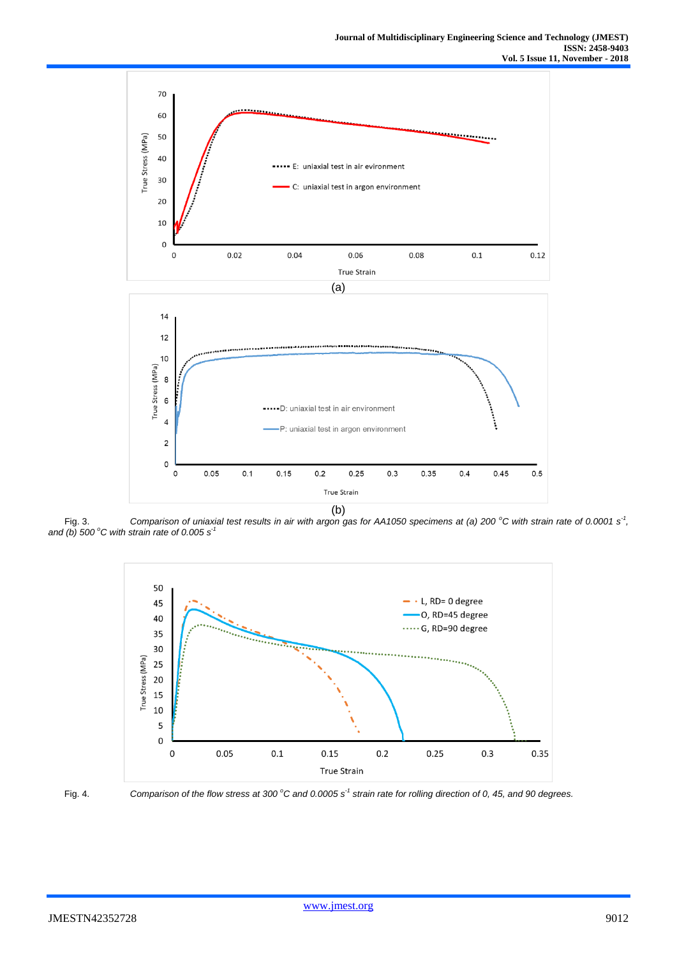

Fig. 3. *Comparison of uniaxial test results in air with argon gas for AA1050 specimens at (a) 200 °C with strain rate of 0.0001 s<sup>-1</sup>, and (b) 500 <sup>o</sup>C with strain rate of 0.005 s-1*





Fig. 4. *Comparison of the flow stress at 300 <sup>o</sup>C and 0.0005 s-1 strain rate for rolling direction of 0, 45, and 90 degrees.*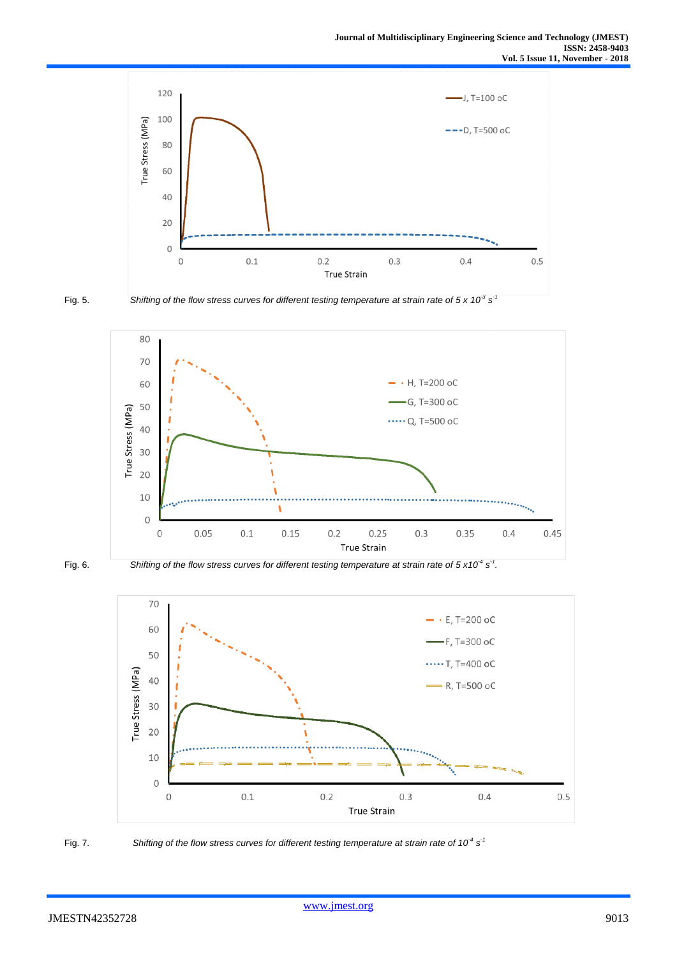



Fig. 5. *Shifting of the flow stress curves for different testing temperature at strain rate of 5 x 10<sup>-3</sup> s<sup>-1</sup>* 





Fig. 6. *Shifting of the flow stress curves for different testing temperature at strain rate of*  $5 \times 10^{-4}$  *s<sup>-1</sup>.* 





Fig. 7. Shifting of the flow stress curves for different testing temperature at strain rate of 10<sup>-4</sup> s<sup>-1</sup>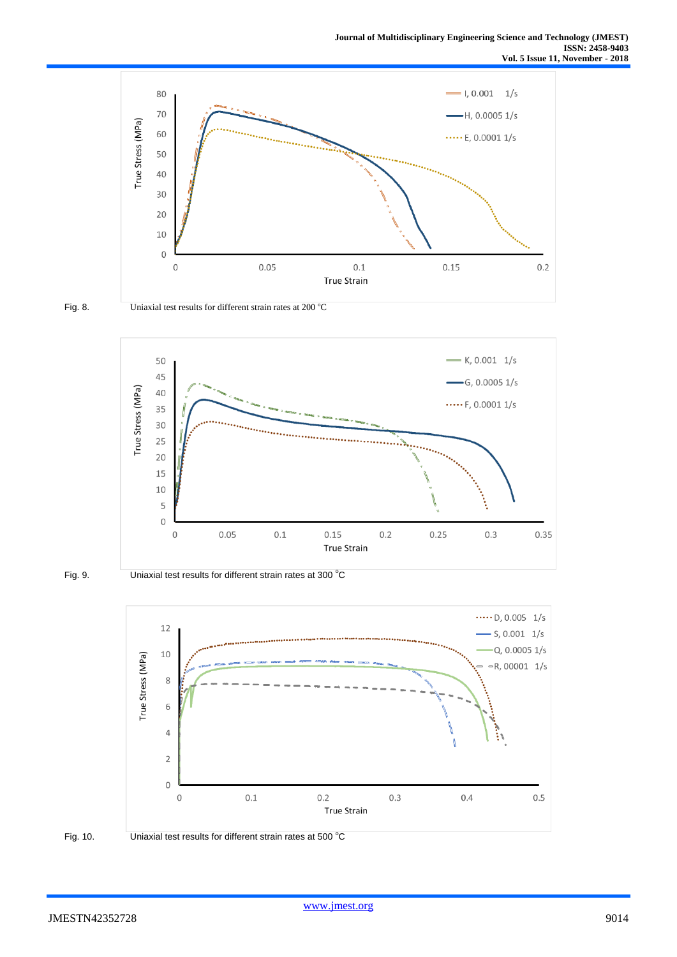



Fig. 8. Uniaxial test results for different strain rates at  $200 °C$ 



Fig. 9. Uniaxial test results for different strain rates at 300 °C





Fig. 10. Uniaxial test results for different strain rates at 500 °C